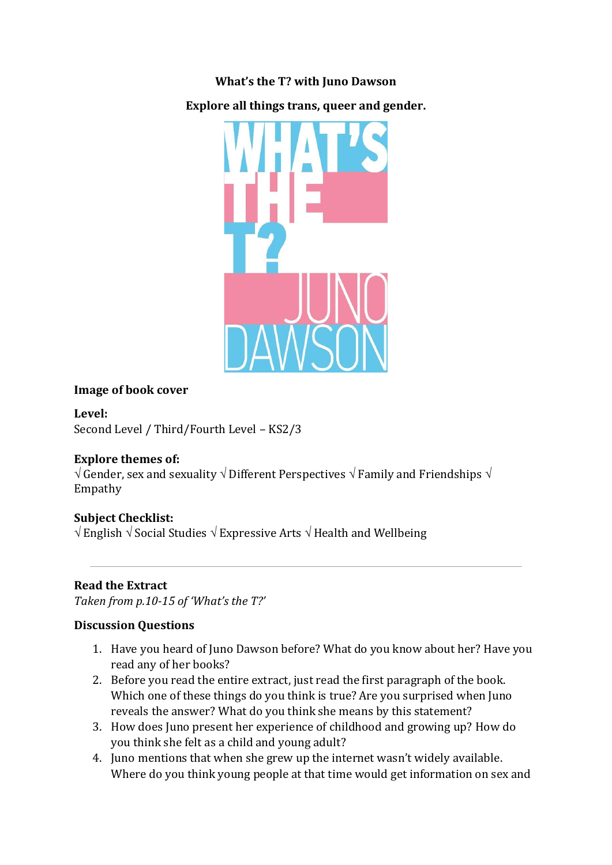### **What's the T? with Juno Dawson**

**Explore all things trans, queer and gender.**



#### **Image of book cover**

**Level:**

Second Level / Third/Fourth Level – KS2/3

#### **Explore themes of:**

 $\sqrt{a}$  Gender, sex and sexuality  $\sqrt{b}$  Different Perspectives  $\sqrt{c}$  Family and Friendships  $\sqrt{a}$ Empathy

## **Subject Checklist:**

 $\sqrt{\frac{1}{2}}$  English  $\sqrt{\frac{1}{2}}$  Social Studies  $\sqrt{\frac{1}{2}}$  Expressive Arts  $\sqrt{\frac{1}{2}}$  Health and Wellbeing

## **Read the Extract**

*Taken from p.10-15 of 'What's the T?'*

#### **Discussion Questions**

- 1. Have you heard of Juno Dawson before? What do you know about her? Have you read any of her books?
- 2. Before you read the entire extract, just read the first paragraph of the book. Which one of these things do you think is true? Are you surprised when Juno reveals the answer? What do you think she means by this statement?
- 3. How does Juno present her experience of childhood and growing up? How do you think she felt as a child and young adult?
- 4. Juno mentions that when she grew up the internet wasn't widely available. Where do you think young people at that time would get information on sex and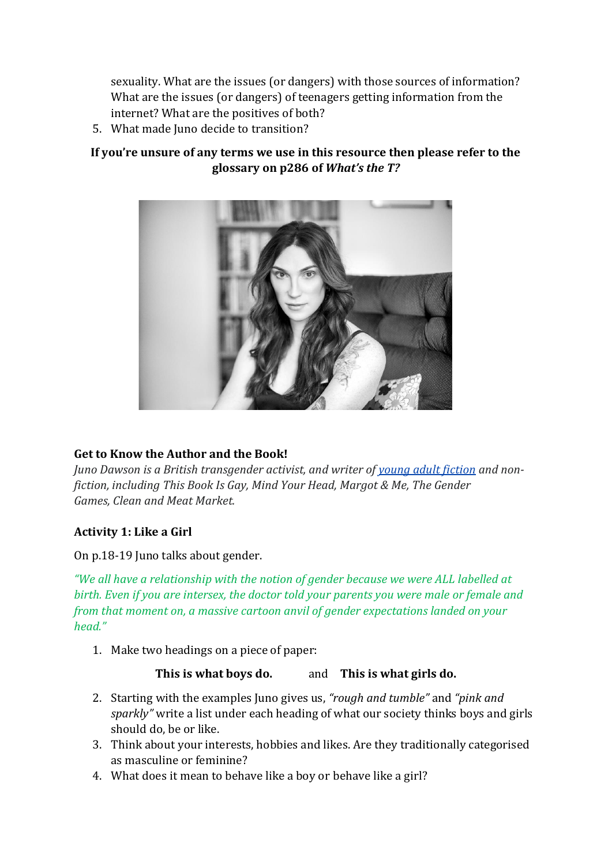sexuality. What are the issues (or dangers) with those sources of information? What are the issues (or dangers) of teenagers getting information from the internet? What are the positives of both?

5. What made Juno decide to transition?

# **If you're unsure of any terms we use in this resource then please refer to the glossary on p286 of** *What's the T?*



## **Get to Know the Author and the Book!**

*Juno Dawson is a British transgender activist, and writer of [young adult fiction](https://en.wikipedia.org/wiki/Young_adult_fiction) and nonfiction, including This Book Is Gay, Mind Your Head, Margot & Me, The Gender Games, Clean and Meat Market.*

## **Activity 1: Like a Girl**

On p.18-19 Juno talks about gender.

*"We all have a relationship with the notion of gender because we were ALL labelled at birth. Even if you are intersex, the doctor told your parents you were male or female and from that moment on, a massive cartoon anvil of gender expectations landed on your head."*

1. Make two headings on a piece of paper:

## **This is what boys do.** and **This is what girls do.**

- 2. Starting with the examples Juno gives us, *"rough and tumble"* and *"pink and sparkly"* write a list under each heading of what our society thinks boys and girls should do, be or like.
- 3. Think about your interests, hobbies and likes. Are they traditionally categorised as masculine or feminine?
- 4. What does it mean to behave like a boy or behave like a girl?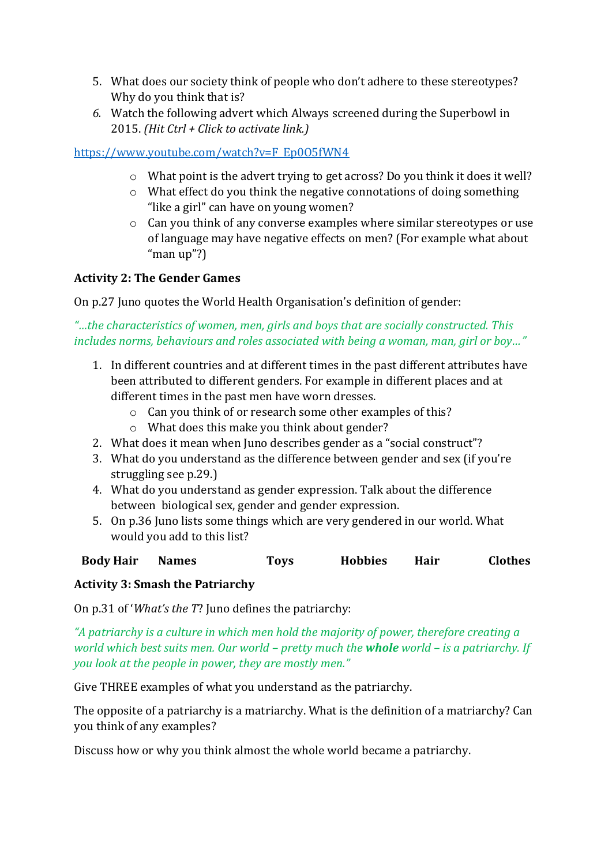- 5. What does our society think of people who don't adhere to these stereotypes? Why do you think that is?
- *6.* Watch the following advert which Always screened during the Superbowl in 2015. *(Hit Ctrl + Click to activate link.)*

# [https://www.youtube.com/watch?v=F\\_Ep0O5fWN4](https://www.youtube.com/watch?v=F_Ep0O5fWN4)

- o What point is the advert trying to get across? Do you think it does it well?
- o What effect do you think the negative connotations of doing something "like a girl" can have on young women?
- o Can you think of any converse examples where similar stereotypes or use of language may have negative effects on men? (For example what about "man up"?)

# **Activity 2: The Gender Games**

On p.27 Juno quotes the World Health Organisation's definition of gender:

*"…the characteristics of women, men, girls and boys that are socially constructed. This includes norms, behaviours and roles associated with being a woman, man, girl or boy…"*

- 1. In different countries and at different times in the past different attributes have been attributed to different genders. For example in different places and at different times in the past men have worn dresses.
	- o Can you think of or research some other examples of this?
	- o What does this make you think about gender?
- 2. What does it mean when Juno describes gender as a "social construct"?
- 3. What do you understand as the difference between gender and sex (if you're struggling see p.29.)
- 4. What do you understand as gender expression. Talk about the difference between biological sex, gender and gender expression.
- 5. On p.36 Juno lists some things which are very gendered in our world. What would you add to this list?

**Body Hair Names Toys Hobbies Hair Clothes**

## **Activity 3: Smash the Patriarchy**

On p.31 of '*What's the T*? Juno defines the patriarchy:

*"A patriarchy is a culture in which men hold the majority of power, therefore creating a world which best suits men. Our world – pretty much the whole world – is a patriarchy. If you look at the people in power, they are mostly men."*

Give THREE examples of what you understand as the patriarchy.

The opposite of a patriarchy is a matriarchy. What is the definition of a matriarchy? Can you think of any examples?

Discuss how or why you think almost the whole world became a patriarchy.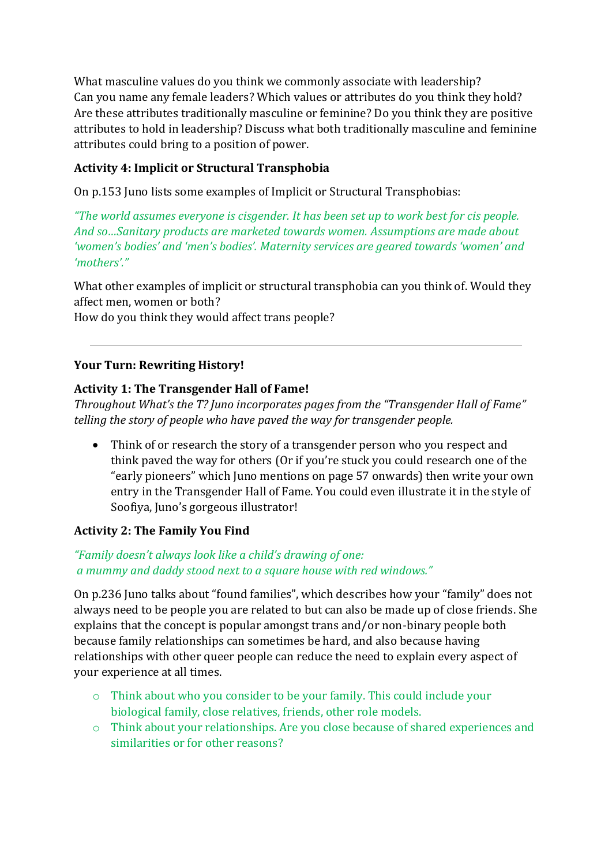What masculine values do you think we commonly associate with leadership? Can you name any female leaders? Which values or attributes do you think they hold? Are these attributes traditionally masculine or feminine? Do you think they are positive attributes to hold in leadership? Discuss what both traditionally masculine and feminine attributes could bring to a position of power.

# **Activity 4: Implicit or Structural Transphobia**

On p.153 Juno lists some examples of Implicit or Structural Transphobias:

*"The world assumes everyone is cisgender. It has been set up to work best for cis people. And so…Sanitary products are marketed towards women. Assumptions are made about 'women's bodies' and 'men's bodies'. Maternity services are geared towards 'women' and 'mothers'."*

What other examples of implicit or structural transphobia can you think of. Would they affect men, women or both?

How do you think they would affect trans people?

# **Your Turn: Rewriting History!**

## **Activity 1: The Transgender Hall of Fame!**

*Throughout What's the T? Juno incorporates pages from the "Transgender Hall of Fame" telling the story of people who have paved the way for transgender people.*

• Think of or research the story of a transgender person who you respect and think paved the way for others (Or if you're stuck you could research one of the "early pioneers" which Juno mentions on page 57 onwards) then write your own entry in the Transgender Hall of Fame. You could even illustrate it in the style of Soofiya, Juno's gorgeous illustrator!

## **Activity 2: The Family You Find**

## *"Family doesn't always look like a child's drawing of one: a mummy and daddy stood next to a square house with red windows."*

On p.236 Juno talks about "found families", which describes how your "family" does not always need to be people you are related to but can also be made up of close friends. She explains that the concept is popular amongst trans and/or non-binary people both because family relationships can sometimes be hard, and also because having relationships with other queer people can reduce the need to explain every aspect of your experience at all times.

- o Think about who you consider to be your family. This could include your biological family, close relatives, friends, other role models.
- o Think about your relationships. Are you close because of shared experiences and similarities or for other reasons?